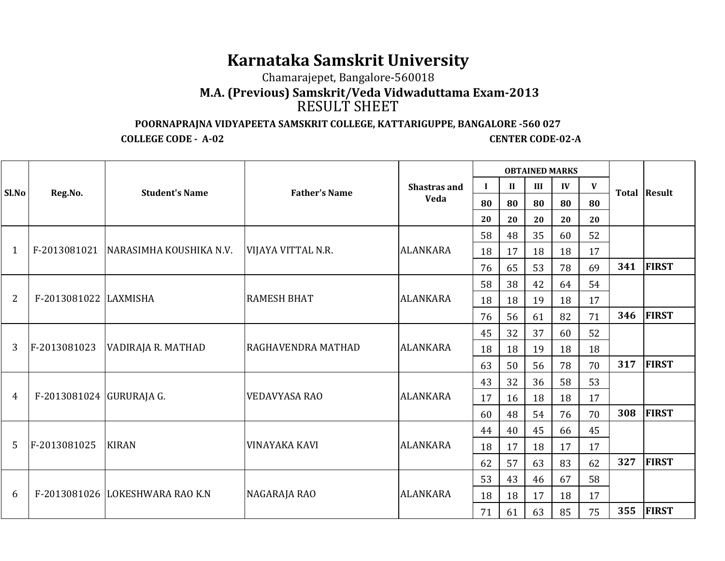## **Karnataka Samskrit University**

Chamarajepet, Bangalore-560018

## **M.A. (Previous) Samskrit/Veda Vidwaduttama Exam-2013** RESULT SHEET

## **POORNAPRAJNA VIDYAPEETA SAMSKRIT COLLEGE, KATTARIGUPPE, BANGALORE -560 027**

**COLLEGE CODE - A-02** 

**CENTER CODE-02-A** 

|       |                          |                                      |                      |                     |          |              | <b>OBTAINED MARKS</b> |    |    |     |              |
|-------|--------------------------|--------------------------------------|----------------------|---------------------|----------|--------------|-----------------------|----|----|-----|--------------|
| Sl.No | Reg.No.                  | <b>Student's Name</b>                | <b>Father's Name</b> | <b>Shastras and</b> | $\bf{I}$ | $\mathbf{I}$ | III                   | IV | V  |     |              |
|       |                          |                                      |                      | <b>Veda</b>         | 80       | 80           | 80                    | 80 | 80 |     | Total Result |
|       |                          |                                      |                      |                     | 20       | 20           | 20                    | 20 | 20 |     |              |
|       |                          |                                      |                      |                     | 58       | 48           | 35                    | 60 | 52 |     |              |
| 1     |                          | F-2013081021 NARASIMHA KOUSHIKA N.V. | VIJAYA VITTAL N.R.   | <b>ALANKARA</b>     | 18       | 17           | 18                    | 18 | 17 |     |              |
|       |                          |                                      |                      |                     | 76       | 65           | 53                    | 78 | 69 | 341 | <b>FIRST</b> |
|       |                          |                                      | <b>RAMESH BHAT</b>   |                     | 58       | 38           | 42                    | 64 | 54 |     |              |
| 2     | F-2013081022 LAXMISHA    |                                      |                      | <b>ALANKARA</b>     | 18       | 18           | 19                    | 18 | 17 |     |              |
|       |                          |                                      |                      |                     | 76       | 56           | 61                    | 82 | 71 | 346 | <b>FIRST</b> |
|       | F-2013081023             | VADIRAJA R. MATHAD                   | RAGHAVENDRA MATHAD   | <b>ALANKARA</b>     | 45       | 32           | 37                    | 60 | 52 |     |              |
| 3     |                          |                                      |                      |                     | 18       | 18           | 19                    | 18 | 18 |     |              |
|       |                          |                                      |                      |                     | 63       | 50           | 56                    | 78 | 70 | 317 | <b>FIRST</b> |
|       | F-2013081024 GURURAJA G. |                                      | <b>VEDAVYASA RAO</b> | <b>ALANKARA</b>     | 43       | 32           | 36                    | 58 | 53 |     |              |
| 4     |                          |                                      |                      |                     | 17       | 16           | 18                    | 18 | 17 |     |              |
|       |                          |                                      |                      |                     | 60       | 48           | 54                    | 76 | 70 | 308 | <b>FIRST</b> |
|       |                          |                                      |                      |                     | 44       | 40           | 45                    | 66 | 45 |     |              |
| 5     | F-2013081025             | <b>KIRAN</b>                         | <b>VINAYAKA KAVI</b> | <b>ALANKARA</b>     | 18       | 17           | 18                    | 17 | 17 |     |              |
|       |                          |                                      |                      |                     | 62       | 57           | 63                    | 83 | 62 | 327 | <b>FIRST</b> |
|       |                          |                                      | NAGARAJA RAO         |                     | 53       | 43           | 46                    | 67 | 58 |     |              |
| 6     |                          | F-2013081026 LOKESHWARA RAO K.N      |                      | <b>ALANKARA</b>     | 18       | 18           | 17                    | 18 | 17 |     |              |
|       |                          |                                      |                      |                     | 71       | 61           | 63                    | 85 | 75 | 355 | <b>FIRST</b> |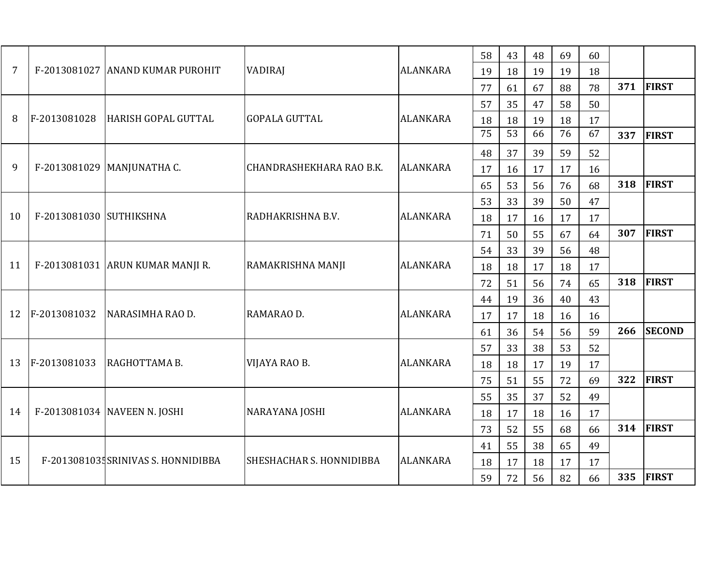| $\overline{7}$ |                         | F-2013081027 ANAND KUMAR PUROHIT    | <b>VADIRAJ</b>           | <b>ALANKARA</b> | 58 | 43              | 48 | 69 | 60 |     |               |
|----------------|-------------------------|-------------------------------------|--------------------------|-----------------|----|-----------------|----|----|----|-----|---------------|
|                |                         |                                     |                          |                 | 19 | 18              | 19 | 19 | 18 |     |               |
|                |                         |                                     |                          |                 | 77 | 61              | 67 | 88 | 78 | 371 | <b>FIRST</b>  |
|                |                         |                                     |                          |                 | 57 | 35              | 47 | 58 | 50 |     |               |
| 8              | F-2013081028            | HARISH GOPAL GUTTAL                 | <b>GOPALA GUTTAL</b>     | <b>ALANKARA</b> | 18 | 18              | 19 | 18 | 17 |     |               |
|                |                         |                                     |                          |                 | 75 | $\overline{53}$ | 66 | 76 | 67 | 337 | <b>FIRST</b>  |
|                |                         |                                     |                          |                 | 48 | 37              | 39 | 59 | 52 |     |               |
| 9              |                         | F-2013081029 MANJUNATHA C.          | CHANDRASHEKHARA RAO B.K. | <b>ALANKARA</b> | 17 | 16              | 17 | 17 | 16 |     |               |
|                |                         |                                     |                          |                 | 65 | 53              | 56 | 76 | 68 | 318 | <b>FIRST</b>  |
|                |                         |                                     |                          |                 | 53 | 33              | 39 | 50 | 47 |     |               |
| 10             | F-2013081030 SUTHIKSHNA |                                     | RADHAKRISHNA B.V.        | <b>ALANKARA</b> | 18 | 17              | 16 | 17 | 17 |     |               |
|                |                         |                                     |                          |                 | 71 | 50              | 55 | 67 | 64 | 307 | <b>FIRST</b>  |
|                |                         | F-2013081031 ARUN KUMAR MANJI R.    | RAMAKRISHNA MANJI        |                 | 54 | 33              | 39 | 56 | 48 |     |               |
| 11             |                         |                                     |                          | <b>ALANKARA</b> | 18 | 18              | 17 | 18 | 17 |     |               |
|                |                         |                                     |                          |                 | 72 | 51              | 56 | 74 | 65 | 318 | FIRST         |
|                | F-2013081032            | NARASIMHA RAO D.                    | RAMARAO D.               | <b>ALANKARA</b> | 44 | 19              | 36 | 40 | 43 |     |               |
| 12             |                         |                                     |                          |                 | 17 | 17              | 18 | 16 | 16 |     |               |
|                |                         |                                     |                          |                 | 61 | 36              | 54 | 56 | 59 | 266 | <b>SECOND</b> |
|                |                         |                                     |                          |                 | 57 | 33              | 38 | 53 | 52 |     |               |
| 13             | F-2013081033            | RAGHOTTAMA B.                       | VIJAYA RAO B.            | <b>ALANKARA</b> | 18 | 18              | 17 | 19 | 17 |     |               |
|                |                         |                                     |                          |                 | 75 | 51              | 55 | 72 | 69 | 322 | <b>FIRST</b>  |
|                |                         |                                     |                          |                 | 55 | 35              | 37 | 52 | 49 |     |               |
| 14             |                         | F-2013081034 NAVEEN N. JOSHI        | NARAYANA JOSHI           | <b>ALANKARA</b> | 18 | 17              | 18 | 16 | 17 |     |               |
|                |                         |                                     |                          |                 | 73 | 52              | 55 | 68 | 66 | 314 | <b>FIRST</b>  |
|                |                         |                                     |                          |                 | 41 | 55              | 38 | 65 | 49 |     |               |
| 15             |                         | F-2013081035 SRINIVAS S. HONNIDIBBA | SHESHACHAR S. HONNIDIBBA | <b>ALANKARA</b> | 18 | 17              | 18 | 17 | 17 |     |               |
|                |                         |                                     |                          |                 | 59 | 72              | 56 | 82 | 66 | 335 | FIRST         |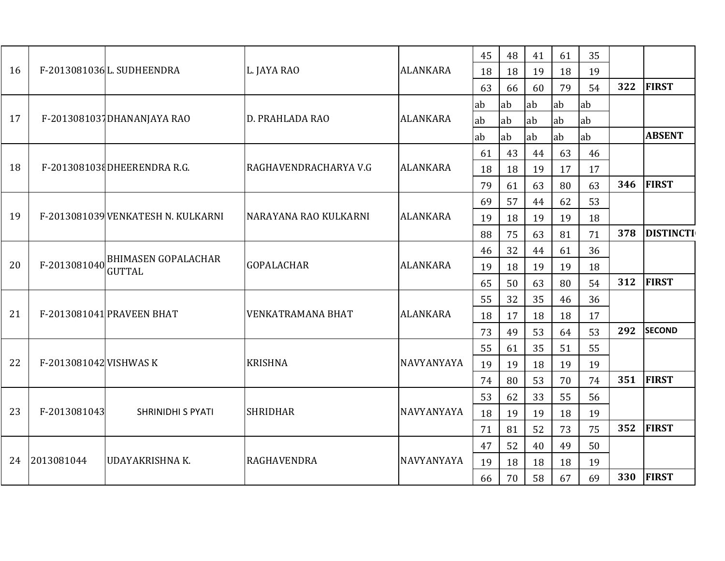| 16 |                        | F-2013081036L. SUDHEENDRA                   | L. JAYA RAO              | <b>ALANKARA</b>   | 45 | 48 | 41 | 61 | 35 |     |                  |
|----|------------------------|---------------------------------------------|--------------------------|-------------------|----|----|----|----|----|-----|------------------|
|    |                        |                                             |                          |                   | 18 | 18 | 19 | 18 | 19 |     |                  |
|    |                        |                                             |                          |                   | 63 | 66 | 60 | 79 | 54 | 322 | <b>FIRST</b>     |
|    |                        |                                             |                          |                   | ab | ab | ab | ab | ab |     |                  |
| 17 |                        | F-2013081037DHANANJAYA RAO                  | D. PRAHLADA RAO          | <b>ALANKARA</b>   | ab | ab | ab | ab | ab |     |                  |
|    |                        |                                             |                          |                   | ab | ab | ab | ab | ab |     | <b>ABSENT</b>    |
|    |                        |                                             |                          |                   | 61 | 43 | 44 | 63 | 46 |     |                  |
| 18 |                        | F-2013081038DHEERENDRA R.G.                 | RAGHAVENDRACHARYA V.G    | <b>ALANKARA</b>   | 18 | 18 | 19 | 17 | 17 |     |                  |
|    |                        |                                             |                          |                   | 79 | 61 | 63 | 80 | 63 | 346 | <b>FIRST</b>     |
|    |                        |                                             |                          |                   | 69 | 57 | 44 | 62 | 53 |     |                  |
| 19 |                        | F-2013081039 VENKATESH N. KULKARNI          | NARAYANA RAO KULKARNI    | <b>ALANKARA</b>   | 19 | 18 | 19 | 19 | 18 |     |                  |
|    |                        |                                             |                          |                   | 88 | 75 | 63 | 81 | 71 | 378 | <b>DISTINCTI</b> |
|    | F-2013081040           | <b>BHIMASEN GOPALACHAR</b><br><b>GUTTAL</b> | <b>GOPALACHAR</b>        | <b>ALANKARA</b>   | 46 | 32 | 44 | 61 | 36 |     |                  |
| 20 |                        |                                             |                          |                   | 19 | 18 | 19 | 19 | 18 |     |                  |
|    |                        |                                             |                          |                   | 65 | 50 | 63 | 80 | 54 | 312 | <b>FIRST</b>     |
|    |                        | F-2013081041 PRAVEEN BHAT                   | <b>VENKATRAMANA BHAT</b> | <b>ALANKARA</b>   | 55 | 32 | 35 | 46 | 36 |     |                  |
| 21 |                        |                                             |                          |                   | 18 | 17 | 18 | 18 | 17 |     |                  |
|    |                        |                                             |                          |                   | 73 | 49 | 53 | 64 | 53 | 292 | <b>SECOND</b>    |
|    |                        |                                             |                          |                   | 55 | 61 | 35 | 51 | 55 |     |                  |
| 22 | F-2013081042 VISHWAS K |                                             | <b>KRISHNA</b>           | NAVYANYAYA        | 19 | 19 | 18 | 19 | 19 |     |                  |
|    |                        |                                             |                          |                   | 74 | 80 | 53 | 70 | 74 |     | 351 FIRST        |
|    |                        |                                             |                          |                   | 53 | 62 | 33 | 55 | 56 |     |                  |
| 23 | F-2013081043           | SHRINIDHI S PYATI                           | <b>SHRIDHAR</b>          | <b>NAVYANYAYA</b> | 18 | 19 | 19 | 18 | 19 |     |                  |
|    |                        |                                             |                          |                   | 71 | 81 | 52 | 73 | 75 | 352 | <b>FIRST</b>     |
|    |                        |                                             | <b>RAGHAVENDRA</b>       | <b>NAVYANYAYA</b> | 47 | 52 | 40 | 49 | 50 |     |                  |
| 24 | 2013081044             | <b>UDAYAKRISHNA K.</b>                      |                          |                   | 19 | 18 | 18 | 18 | 19 |     |                  |
|    |                        |                                             |                          |                   | 66 | 70 | 58 | 67 | 69 |     | 330 FIRST        |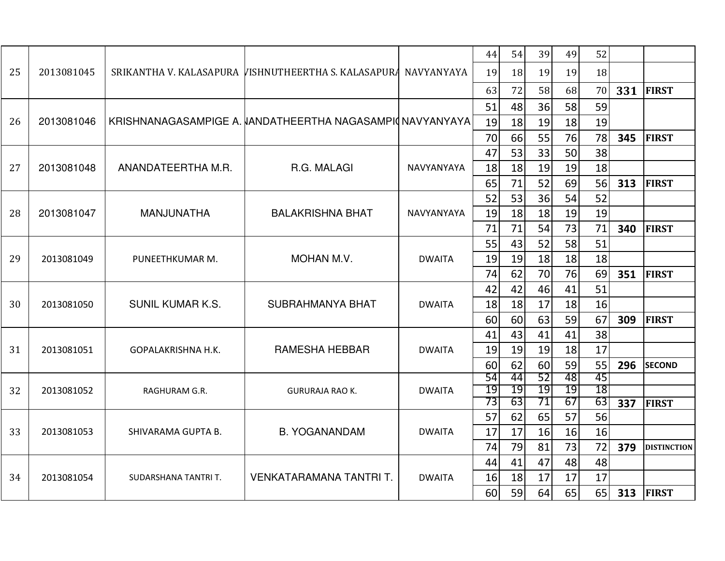|    |            |                         |                                                                 |               | 44       | 54       | 39       | 49       | 52       |     |                                                                                     |
|----|------------|-------------------------|-----------------------------------------------------------------|---------------|----------|----------|----------|----------|----------|-----|-------------------------------------------------------------------------------------|
| 25 | 2013081045 |                         | SRIKANTHA V. KALASAPURA VISHNUTHEERTHA S. KALASAPURA NAVYANYAYA |               | 19       | 18       | 19       | 19       | 18       |     |                                                                                     |
|    |            |                         |                                                                 |               | 63       | 72       | 58       | 68       | 70       | 331 | <b>FIRST</b>                                                                        |
|    |            |                         |                                                                 |               | 51       | 48       | 36       | 58       | 59       |     |                                                                                     |
| 26 | 2013081046 |                         | KRISHNANAGASAMPIGE A. VANDATHEERTHA NAGASAMPIONAVYANYAYA        |               | 19       | 18       | 19       | 18       | 19       |     |                                                                                     |
|    |            |                         |                                                                 |               | 70       | 66       | 55       | 76       | 78       | 345 | <b>FIRST</b>                                                                        |
|    |            |                         |                                                                 |               | 47       | 53       | 33       | 50       | 38       |     |                                                                                     |
| 27 | 2013081048 | ANANDATEERTHA M.R.      | R.G. MALAGI                                                     | NAVYANYAYA    | 18       | 18       | 19       | 19       | 18       |     | <b>FIRST</b><br><b>FIRST</b><br><b>FIRST</b><br><b>SECOND</b><br><b>DISTINCTION</b> |
|    |            |                         |                                                                 |               | 65       | 71       | 52       | 69       | 56       | 313 | FIRST                                                                               |
|    |            |                         |                                                                 |               | 52       | 53       | 36       | 54       | 52       |     |                                                                                     |
| 28 | 2013081047 | <b>MANJUNATHA</b>       | <b>BALAKRISHNA BHAT</b>                                         | NAVYANYAYA    | 19       | 18       | 18       | 19       | 19       |     |                                                                                     |
|    |            |                         |                                                                 |               | 71       | 71       | 54       | 73       | 71       | 340 |                                                                                     |
|    | 2013081049 | PUNEETHKUMAR M.         | MOHAN M.V.                                                      | <b>DWAITA</b> | 55       | 43       | 52       | 58       | 51       |     |                                                                                     |
| 29 |            |                         |                                                                 |               | 19       | 19       | 18       | 18       | 18       |     |                                                                                     |
|    |            |                         |                                                                 |               | 74       | 62       | 70       | 76       | 69       | 351 |                                                                                     |
|    | 2013081050 | <b>SUNIL KUMAR K.S.</b> | SUBRAHMANYA BHAT                                                |               | 42       | 42       | 46       | 41       | 51       |     |                                                                                     |
| 30 |            |                         |                                                                 | <b>DWAITA</b> | 18<br>60 | 18<br>60 | 17<br>63 | 18<br>59 | 16<br>67 | 309 |                                                                                     |
|    |            |                         |                                                                 |               | 41       | 43       | 41       | 41       | 38       |     |                                                                                     |
| 31 | 2013081051 | GOPALAKRISHNA H.K.      | <b>RAMESHA HEBBAR</b>                                           | <b>DWAITA</b> | 19       | 19       | 19       | 18       | 17       |     |                                                                                     |
|    |            |                         |                                                                 |               | 60       | 62       | 60       | 59       | 55       | 296 |                                                                                     |
|    |            |                         |                                                                 |               | 54       | 44       | 52       | 48       | 45       |     |                                                                                     |
| 32 | 2013081052 | RAGHURAM G.R.           | <b>GURURAJA RAO K.</b>                                          | <b>DWAITA</b> | 19       | 19       | 19       | 19       | 18       |     |                                                                                     |
|    |            |                         |                                                                 |               | 73       | 63       | 71       | 67       | 63       | 337 | <b>FIRST</b>                                                                        |
|    |            |                         |                                                                 |               | 57       | 62       | 65       | 57       | 56       |     |                                                                                     |
| 33 | 2013081053 | SHIVARAMA GUPTA B.      | <b>B. YOGANANDAM</b>                                            | <b>DWAITA</b> | 17       | 17       | 16       | 16       | 16       |     |                                                                                     |
|    |            |                         |                                                                 |               | 74       | 79       | 81       | 73       | 72       | 379 |                                                                                     |
|    |            |                         |                                                                 |               | 44       | 41       | 47       | 48       | 48       |     |                                                                                     |
| 34 | 2013081054 | SUDARSHANA TANTRI T.    | VENKATARAMANA TANTRI T.                                         | <b>DWAITA</b> | 16       | 18       | 17       | 17       | 17       |     |                                                                                     |
|    |            |                         |                                                                 |               | 60       | 59       | 64       | 65       | 65       |     | <b>313 FIRST</b>                                                                    |